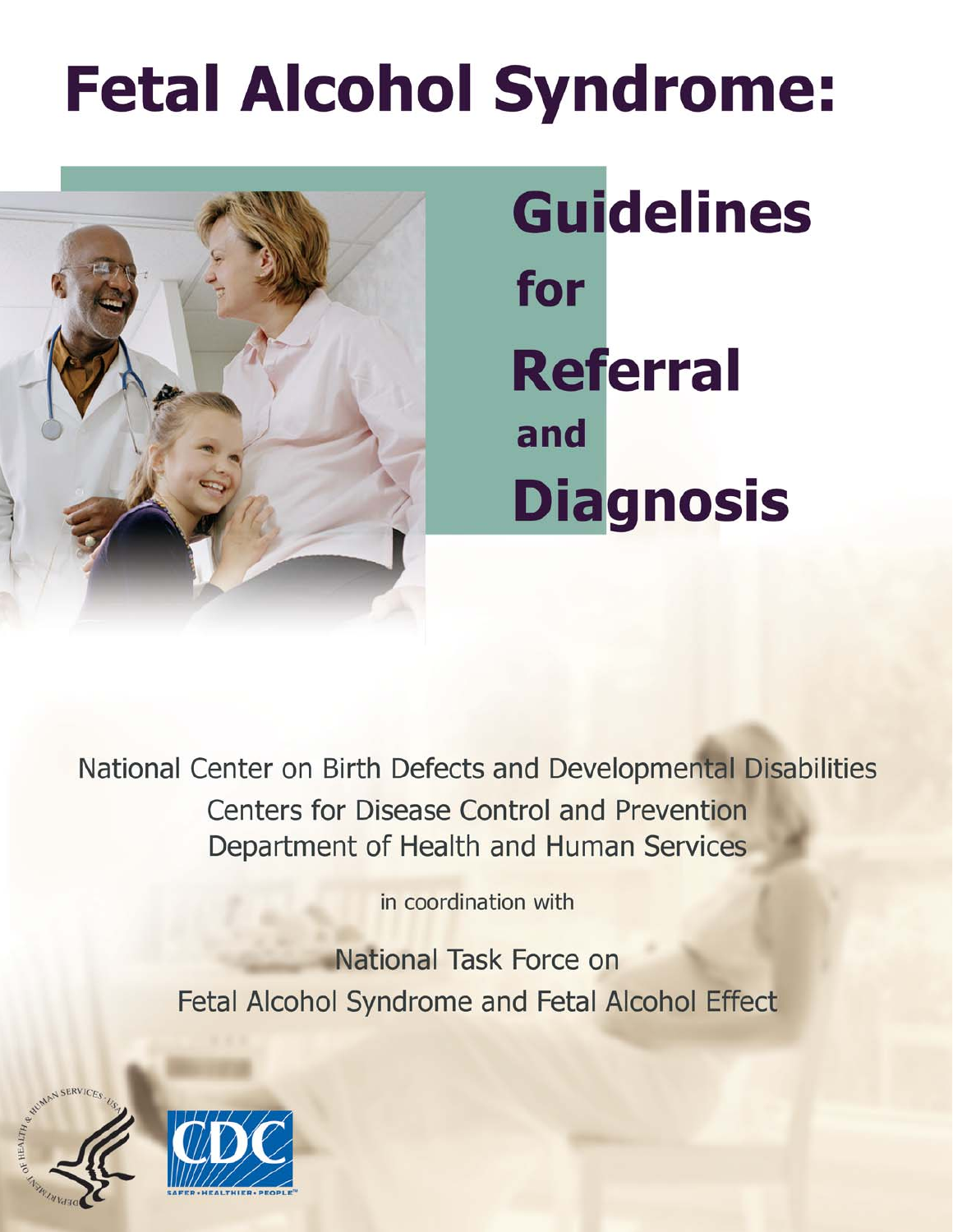# **Fetal Alcohol Syndrome:**



**Guidelines** for **Referral** and **Diagnosis** 

National Center on Birth Defects and Developmental Disabilities **Centers for Disease Control and Prevention** Department of Health and Human Services

in coordination with

National Task Force on **Fetal Alcohol Syndrome and Fetal Alcohol Effect** 



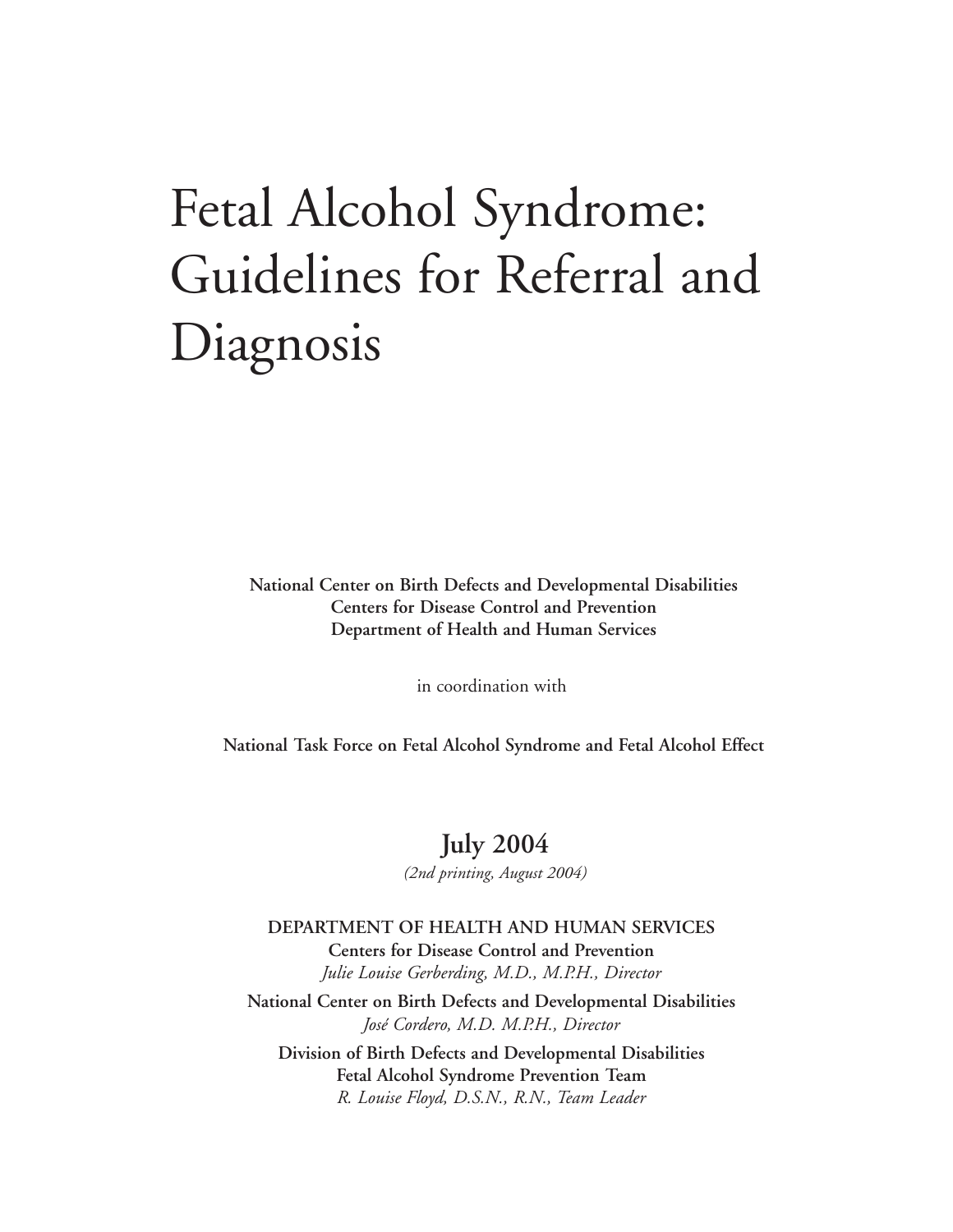## Fetal Alcohol Syndrome: Guidelines for Referral and Diagnosis

**National Center on Birth Defects and Developmental Disabilities Centers for Disease Control and Prevention Department of Health and Human Services** 

in coordination with

**National Task Force on Fetal Alcohol Syndrome and Fetal Alcohol Effect** 

#### **July 2004**

*(2nd printing, August 2004)* 

**DEPARTMENT OF HEALTH AND HUMAN SERVICES Centers for Disease Control and Prevention**  *Julie Louise Gerberding, M.D., M.P.H., Director*  **National Center on Birth Defects and Developmental Disabilities**  *José Cordero, M.D. M.P.H., Director*  **Division of Birth Defects and Developmental Disabilities Fetal Alcohol Syndrome Prevention Team**  *R. Louise Floyd, D.S.N., R.N., Team Leader*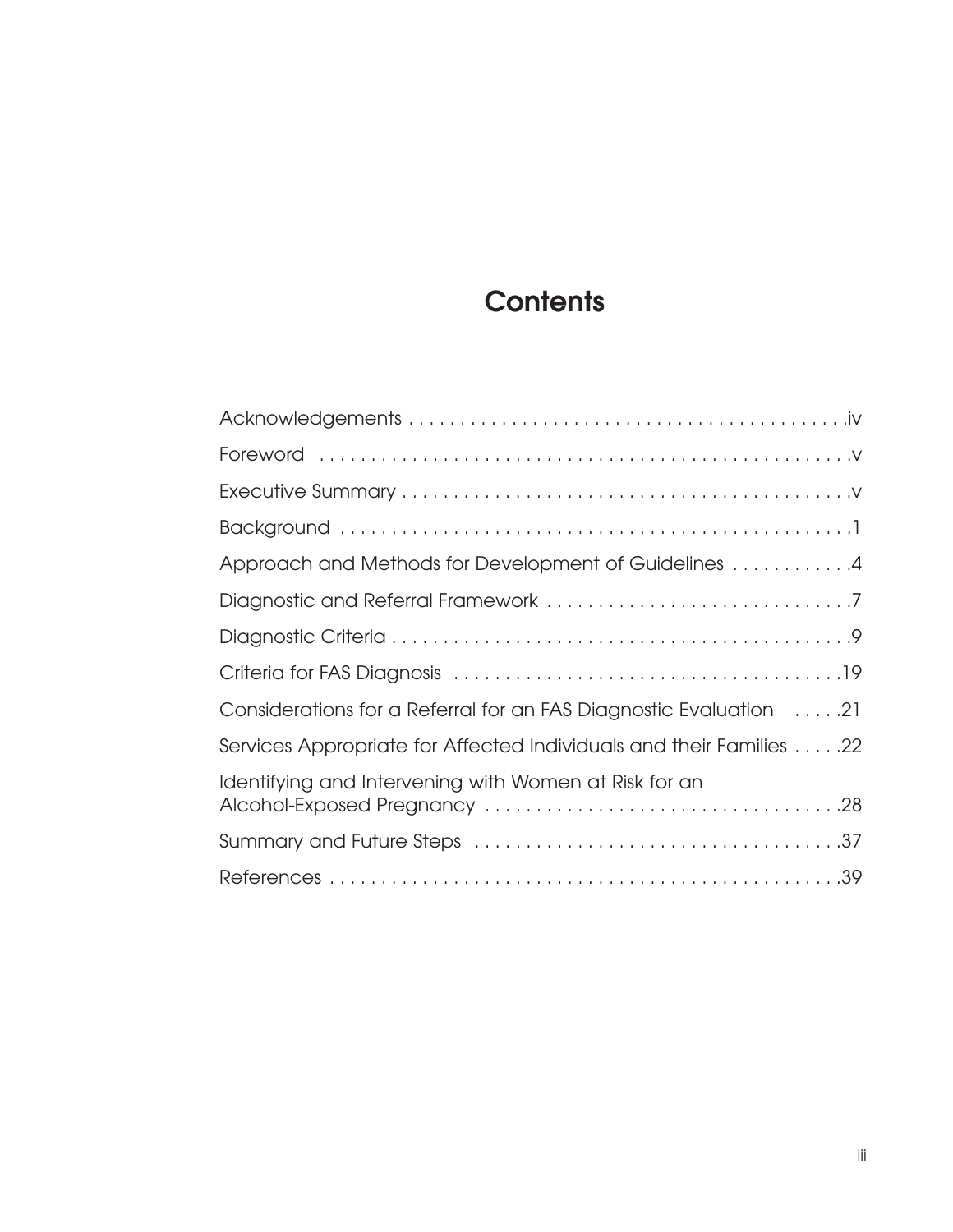## **Contents**

| Approach and Methods for Development of Guidelines 4                |
|---------------------------------------------------------------------|
|                                                                     |
|                                                                     |
|                                                                     |
| Considerations for a Referral for an FAS Diagnostic Evaluation 21   |
| Services Appropriate for Affected Individuals and their Families 22 |
| Identifying and Intervening with Women at Risk for an               |
|                                                                     |
|                                                                     |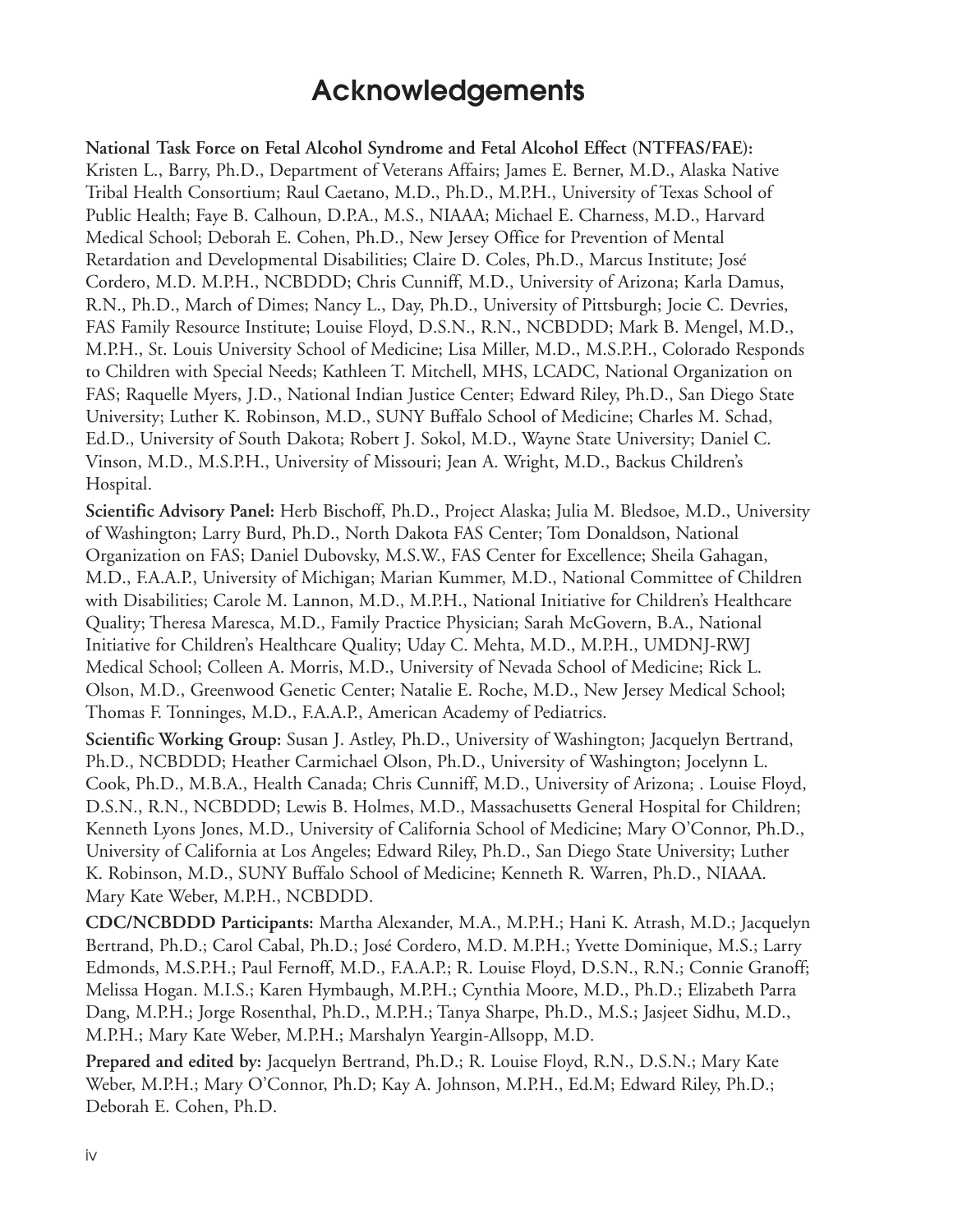#### **Acknowledgements**

**National Task Force on Fetal Alcohol Syndrome and Fetal Alcohol Effect (NTFFAS/FAE):**  Kristen L., Barry, Ph.D., Department of Veterans Affairs; James E. Berner, M.D., Alaska Native Tribal Health Consortium; Raul Caetano, M.D., Ph.D., M.P.H., University of Texas School of Public Health; Faye B. Calhoun, D.P.A., M.S., NIAAA; Michael E. Charness, M.D., Harvard Medical School; Deborah E. Cohen, Ph.D., New Jersey Office for Prevention of Mental Retardation and Developmental Disabilities; Claire D. Coles, Ph.D., Marcus Institute; José Cordero, M.D. M.P.H., NCBDDD; Chris Cunniff, M.D., University of Arizona; Karla Damus, R.N., Ph.D., March of Dimes; Nancy L., Day, Ph.D., University of Pittsburgh; Jocie C. Devries, FAS Family Resource Institute; Louise Floyd, D.S.N., R.N., NCBDDD; Mark B. Mengel, M.D., M.P.H., St. Louis University School of Medicine; Lisa Miller, M.D., M.S.P.H., Colorado Responds to Children with Special Needs; Kathleen T. Mitchell, MHS, LCADC, National Organization on FAS; Raquelle Myers, J.D., National Indian Justice Center; Edward Riley, Ph.D., San Diego State University; Luther K. Robinson, M.D., SUNY Buffalo School of Medicine; Charles M. Schad, Ed.D., University of South Dakota; Robert J. Sokol, M.D., Wayne State University; Daniel C. Vinson, M.D., M.S.P.H., University of Missouri; Jean A. Wright, M.D., Backus Children's Hospital.

**Scientific Advisory Panel:** Herb Bischoff, Ph.D., Project Alaska; Julia M. Bledsoe, M.D., University of Washington; Larry Burd, Ph.D., North Dakota FAS Center; Tom Donaldson, National Organization on FAS; Daniel Dubovsky, M.S.W., FAS Center for Excellence; Sheila Gahagan, M.D., F.A.A.P., University of Michigan; Marian Kummer, M.D., National Committee of Children with Disabilities; Carole M. Lannon, M.D., M.P.H., National Initiative for Children's Healthcare Quality; Theresa Maresca, M.D., Family Practice Physician; Sarah McGovern, B.A., National Initiative for Children's Healthcare Quality; Uday C. Mehta, M.D., M.P.H., UMDNJ-RWJ Medical School; Colleen A. Morris, M.D., University of Nevada School of Medicine; Rick L. Olson, M.D., Greenwood Genetic Center; Natalie E. Roche, M.D., New Jersey Medical School; Thomas F. Tonninges, M.D., F.A.A.P., American Academy of Pediatrics.

**Scientific Working Group:** Susan J. Astley, Ph.D., University of Washington; Jacquelyn Bertrand, Ph.D., NCBDDD; Heather Carmichael Olson, Ph.D., University of Washington; Jocelynn L. Cook, Ph.D., M.B.A., Health Canada; Chris Cunniff, M.D., University of Arizona; . Louise Floyd, D.S.N., R.N., NCBDDD; Lewis B. Holmes, M.D., Massachusetts General Hospital for Children; Kenneth Lyons Jones, M.D., University of California School of Medicine; Mary O'Connor, Ph.D., University of California at Los Angeles; Edward Riley, Ph.D., San Diego State University; Luther K. Robinson, M.D., SUNY Buffalo School of Medicine; Kenneth R. Warren, Ph.D., NIAAA. Mary Kate Weber, M.P.H., NCBDDD.

**CDC/NCBDDD Participants:** Martha Alexander, M.A., M.P.H.; Hani K. Atrash, M.D.; Jacquelyn Bertrand, Ph.D.; Carol Cabal, Ph.D.; José Cordero, M.D. M.P.H.; Yvette Dominique, M.S.; Larry Edmonds, M.S.P.H.; Paul Fernoff, M.D., F.A.A.P.; R. Louise Floyd, D.S.N., R.N.; Connie Granoff; Melissa Hogan. M.I.S.; Karen Hymbaugh, M.P.H.; Cynthia Moore, M.D., Ph.D.; Elizabeth Parra Dang, M.P.H.; Jorge Rosenthal, Ph.D., M.P.H.; Tanya Sharpe, Ph.D., M.S.; Jasjeet Sidhu, M.D., M.P.H.; Mary Kate Weber, M.P.H.; Marshalyn Yeargin-Allsopp, M.D.

**Prepared and edited by:** Jacquelyn Bertrand, Ph.D.; R. Louise Floyd, R.N., D.S.N.; Mary Kate Weber, M.P.H.; Mary O'Connor, Ph.D; Kay A. Johnson, M.P.H., Ed.M; Edward Riley, Ph.D.; Deborah E. Cohen, Ph.D.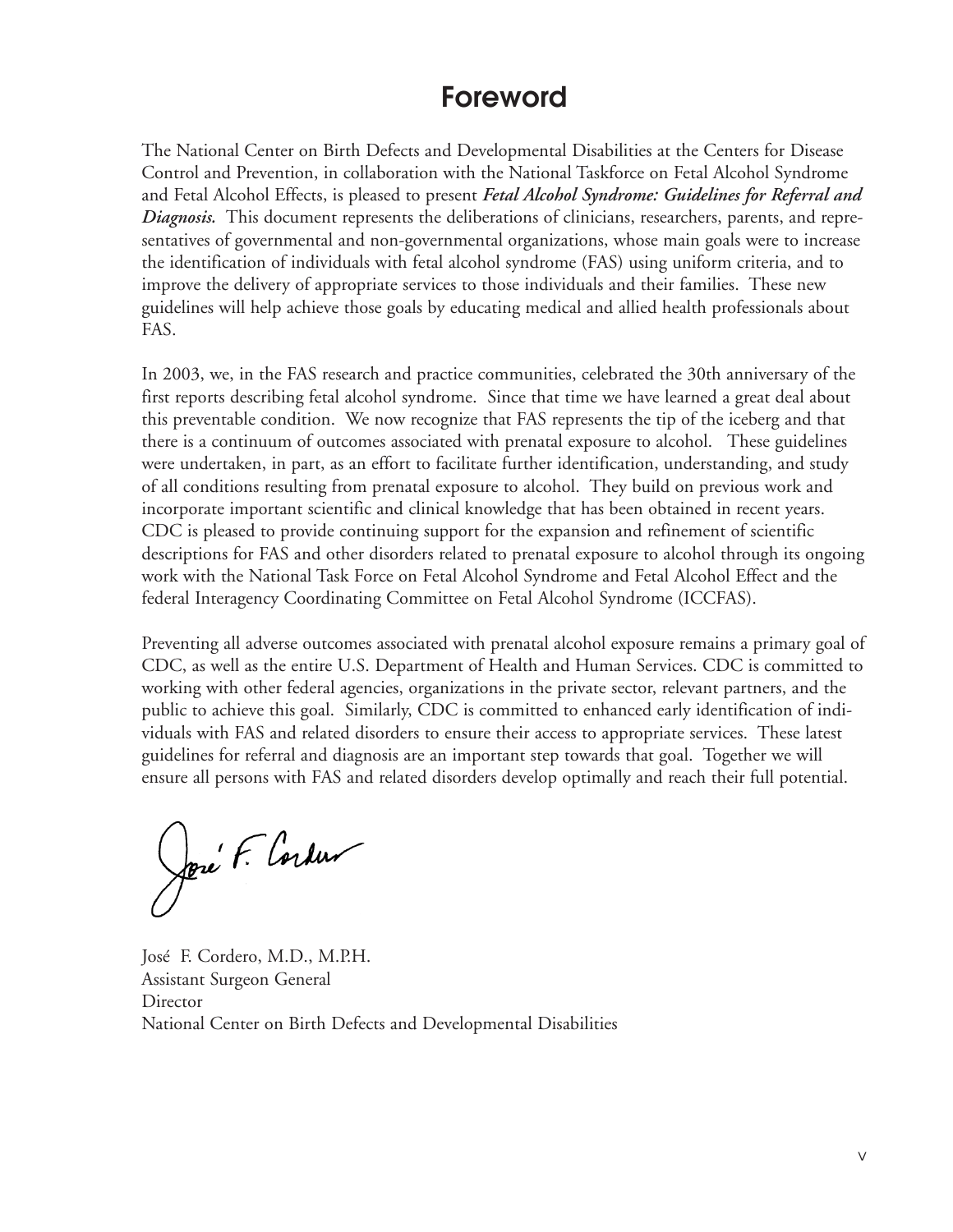#### **Foreword**

The National Center on Birth Defects and Developmental Disabilities at the Centers for Disease Control and Prevention, in collaboration with the National Taskforce on Fetal Alcohol Syndrome and Fetal Alcohol Effects, is pleased to present *Fetal Alcohol Syndrome: Guidelines for Referral and Diagnosis.* This document represents the deliberations of clinicians, researchers, parents, and representatives of governmental and non-governmental organizations, whose main goals were to increase the identification of individuals with fetal alcohol syndrome (FAS) using uniform criteria, and to improve the delivery of appropriate services to those individuals and their families. These new guidelines will help achieve those goals by educating medical and allied health professionals about FAS.

In 2003, we, in the FAS research and practice communities, celebrated the 30th anniversary of the first reports describing fetal alcohol syndrome. Since that time we have learned a great deal about this preventable condition. We now recognize that FAS represents the tip of the iceberg and that there is a continuum of outcomes associated with prenatal exposure to alcohol. These guidelines were undertaken, in part, as an effort to facilitate further identification, understanding, and study of all conditions resulting from prenatal exposure to alcohol. They build on previous work and incorporate important scientific and clinical knowledge that has been obtained in recent years. CDC is pleased to provide continuing support for the expansion and refinement of scientific descriptions for FAS and other disorders related to prenatal exposure to alcohol through its ongoing work with the National Task Force on Fetal Alcohol Syndrome and Fetal Alcohol Effect and the federal Interagency Coordinating Committee on Fetal Alcohol Syndrome (ICCFAS).

Preventing all adverse outcomes associated with prenatal alcohol exposure remains a primary goal of CDC, as well as the entire U.S. Department of Health and Human Services. CDC is committed to working with other federal agencies, organizations in the private sector, relevant partners, and the public to achieve this goal. Similarly, CDC is committed to enhanced early identification of individuals with FAS and related disorders to ensure their access to appropriate services. These latest guidelines for referral and diagnosis are an important step towards that goal. Together we will ensure all persons with FAS and related disorders develop optimally and reach their full potential.

José F. Cordus

José F. Cordero, M.D., M.P.H. Assistant Surgeon General **Director** National Center on Birth Defects and Developmental Disabilities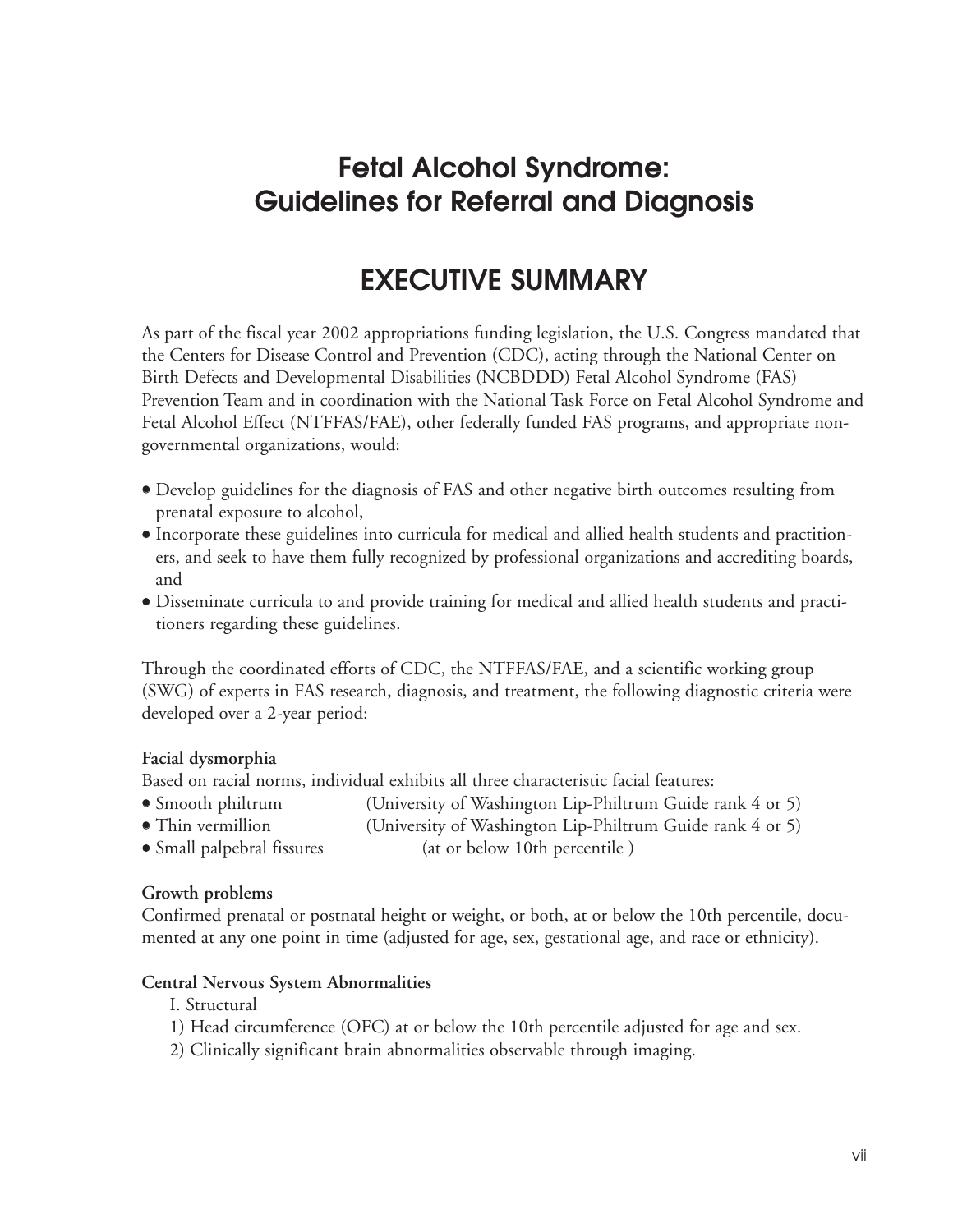## **Fetal Alcohol Syndrome: Guidelines for Referral and Diagnosis**

## **EXECUTIVE SUMMARY**

As part of the fiscal year 2002 appropriations funding legislation, the U.S. Congress mandated that the Centers for Disease Control and Prevention (CDC), acting through the National Center on Birth Defects and Developmental Disabilities (NCBDDD) Fetal Alcohol Syndrome (FAS) Prevention Team and in coordination with the National Task Force on Fetal Alcohol Syndrome and Fetal Alcohol Effect (NTFFAS/FAE), other federally funded FAS programs, and appropriate nongovernmental organizations, would:

- Develop guidelines for the diagnosis of FAS and other negative birth outcomes resulting from prenatal exposure to alcohol,
- Incorporate these guidelines into curricula for medical and allied health students and practitioners, and seek to have them fully recognized by professional organizations and accrediting boards, and
- Disseminate curricula to and provide training for medical and allied health students and practitioners regarding these guidelines.

Through the coordinated efforts of CDC, the NTFFAS/FAE, and a scientific working group (SWG) of experts in FAS research, diagnosis, and treatment, the following diagnostic criteria were developed over a 2-year period:

#### **Facial dysmorphia**

Based on racial norms, individual exhibits all three characteristic facial features:

- Smooth philtrum (University of Washington Lip-Philtrum Guide rank 4 or 5)
- Thin vermillion (University of Washington Lip-Philtrum Guide rank 4 or 5)
- Small palpebral fissures (at or below 10th percentile)

#### **Growth problems**

Confirmed prenatal or postnatal height or weight, or both, at or below the 10th percentile, documented at any one point in time (adjusted for age, sex, gestational age, and race or ethnicity).

#### **Central Nervous System Abnormalities**

- I. Structural
- 1) Head circumference (OFC) at or below the 10th percentile adjusted for age and sex.
- 2) Clinically significant brain abnormalities observable through imaging.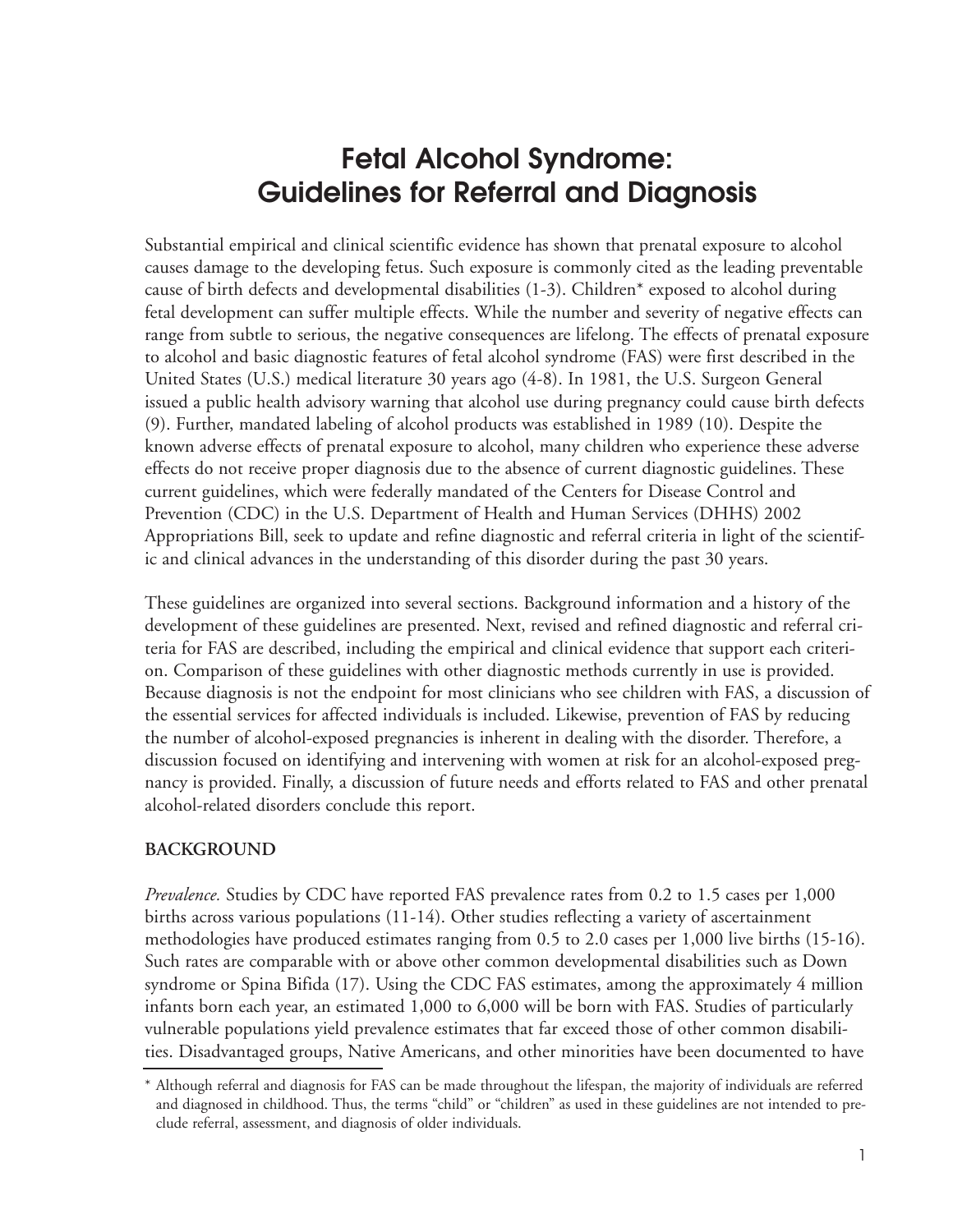### **Fetal Alcohol Syndrome: Guidelines for Referral and Diagnosis**

Substantial empirical and clinical scientific evidence has shown that prenatal exposure to alcohol causes damage to the developing fetus. Such exposure is commonly cited as the leading preventable cause of birth defects and developmental disabilities (1-3). Children\* exposed to alcohol during fetal development can suffer multiple effects. While the number and severity of negative effects can range from subtle to serious, the negative consequences are lifelong. The effects of prenatal exposure to alcohol and basic diagnostic features of fetal alcohol syndrome (FAS) were first described in the United States (U.S.) medical literature 30 years ago (4-8). In 1981, the U.S. Surgeon General issued a public health advisory warning that alcohol use during pregnancy could cause birth defects (9). Further, mandated labeling of alcohol products was established in 1989 (10). Despite the known adverse effects of prenatal exposure to alcohol, many children who experience these adverse effects do not receive proper diagnosis due to the absence of current diagnostic guidelines. These current guidelines, which were federally mandated of the Centers for Disease Control and Prevention (CDC) in the U.S. Department of Health and Human Services (DHHS) 2002 Appropriations Bill, seek to update and refine diagnostic and referral criteria in light of the scientific and clinical advances in the understanding of this disorder during the past 30 years.

These guidelines are organized into several sections. Background information and a history of the development of these guidelines are presented. Next, revised and refined diagnostic and referral criteria for FAS are described, including the empirical and clinical evidence that support each criterion. Comparison of these guidelines with other diagnostic methods currently in use is provided. Because diagnosis is not the endpoint for most clinicians who see children with FAS, a discussion of the essential services for affected individuals is included. Likewise, prevention of FAS by reducing the number of alcohol-exposed pregnancies is inherent in dealing with the disorder. Therefore, a discussion focused on identifying and intervening with women at risk for an alcohol-exposed pregnancy is provided. Finally, a discussion of future needs and efforts related to FAS and other prenatal alcohol-related disorders conclude this report.

#### **BACKGROUND**

*Prevalence.* Studies by CDC have reported FAS prevalence rates from 0.2 to 1.5 cases per 1,000 births across various populations (11-14). Other studies reflecting a variety of ascertainment methodologies have produced estimates ranging from 0.5 to 2.0 cases per 1,000 live births (15-16). Such rates are comparable with or above other common developmental disabilities such as Down syndrome or Spina Bifida (17). Using the CDC FAS estimates, among the approximately 4 million infants born each year, an estimated 1,000 to 6,000 will be born with FAS. Studies of particularly vulnerable populations yield prevalence estimates that far exceed those of other common disabilities. Disadvantaged groups, Native Americans, and other minorities have been documented to have

<sup>\*</sup> Although referral and diagnosis for FAS can be made throughout the lifespan, the majority of individuals are referred and diagnosed in childhood. Thus, the terms "child" or "children" as used in these guidelines are not intended to preclude referral, assessment, and diagnosis of older individuals.